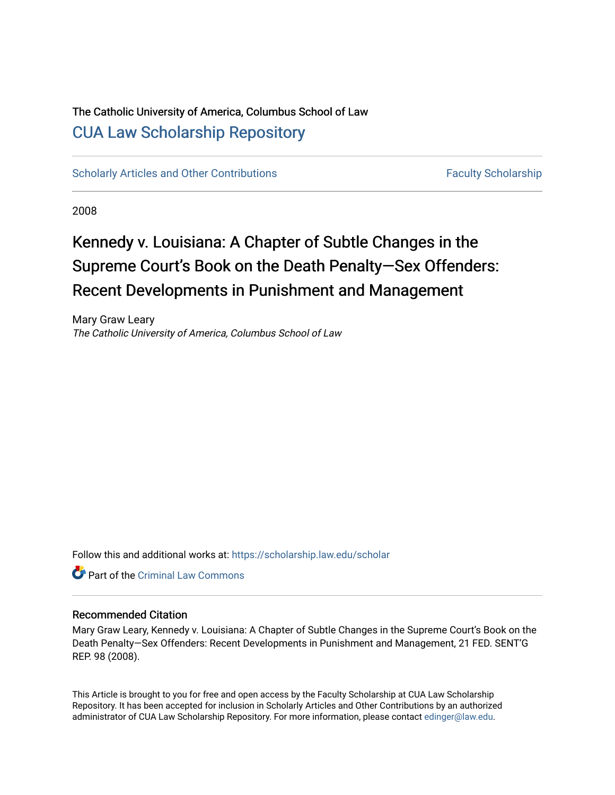The Catholic University of America, Columbus School of Law [CUA Law Scholarship Repository](https://scholarship.law.edu/) 

[Scholarly Articles and Other Contributions](https://scholarship.law.edu/scholar) Faculty Scholarship

2008

# Kennedy v. Louisiana: A Chapter of Subtle Changes in the Supreme Court's Book on the Death Penalty–Sex Offenders: Recent Developments in Punishment and Management

Mary Graw Leary The Catholic University of America, Columbus School of Law

Follow this and additional works at: [https://scholarship.law.edu/scholar](https://scholarship.law.edu/scholar?utm_source=scholarship.law.edu%2Fscholar%2F235&utm_medium=PDF&utm_campaign=PDFCoverPages)

**C** Part of the Criminal Law Commons

## Recommended Citation

Mary Graw Leary, Kennedy v. Louisiana: A Chapter of Subtle Changes in the Supreme Court's Book on the Death Penalty—Sex Offenders: Recent Developments in Punishment and Management, 21 FED. SENT'G REP. 98 (2008).

This Article is brought to you for free and open access by the Faculty Scholarship at CUA Law Scholarship Repository. It has been accepted for inclusion in Scholarly Articles and Other Contributions by an authorized administrator of CUA Law Scholarship Repository. For more information, please contact [edinger@law.edu](mailto:edinger@law.edu).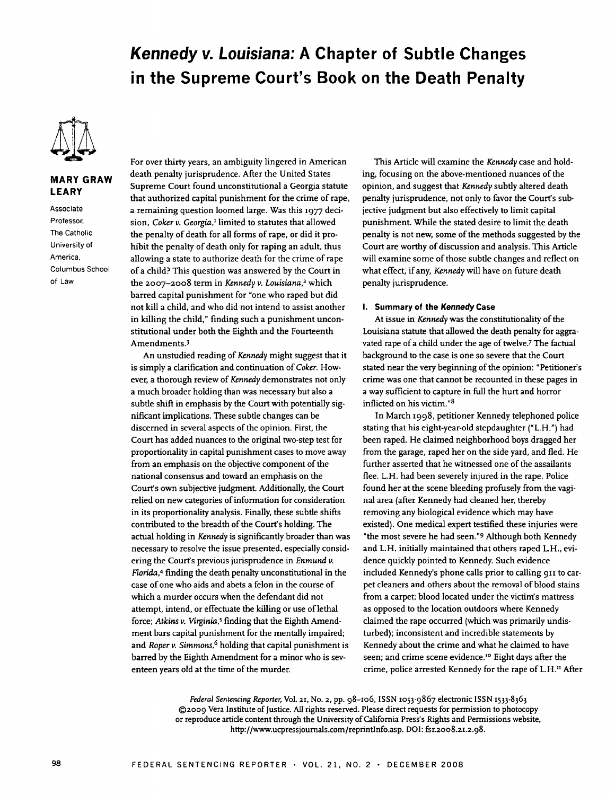## **Kennedy v. Louisiana: A Chapter of Subtle Changes in the Supreme Court's Book on the Death Penalty**



#### **MARY GRAW LEARY**

Associate Professor, The Catholic University of America, Columbus School of Law

For over thirty years, an ambiguity lingered in American death penalty jurisprudence. After the United States Supreme Court found unconstitutional a Georgia statute that authorized capital punishment for the crime of rape, a remaining question loomed large. Was this **1977** decision, *Coker v. Georgia,'* limited to statutes that allowed the penalty of death for all forms of rape, or did it prohibit the penalty of death only for raping an adult, thus allowing a state to authorize death for the crime of rape of a child? This question was answered by the Court in the 2007-2008 term in *Kennedy v. Louisiana*,<sup>2</sup> which barred capital punishment for "one who raped but did not kill a child, and who did not intend to assist another in killing the child," finding such a punishment unconstitutional under both the Eighth and the Fourteenth Amendments. <sup>3</sup>

An unstudied reading of *Kennedy* might suggest that it is simply a clarification and continuation of *Coker.* However, a thorough review of *Kennedy* demonstrates not only a much broader holding than was necessary but also a subtle shift in emphasis by the Court with potentially significant implications. These subtle changes can be discerned in several aspects of the opinion. First, the Court has added nuances to the original two-step test for proportionality in capital punishment cases to move away from an emphasis on the objective component of the national consensus and toward an emphasis on the Court's own subjective judgment. Additionally, the Court relied on new categories of information for consideration in its proportionality analysis. Finally, these subtle shifts contributed to the breadth of the Court's holding. The actual holding in *Kennedy* is significantly broader than was necessary to resolve the issue presented, especially considering the Court's previous jurisprudence in *Enmund v. Florida,4* finding the death penalty unconstitutional in the case of one who aids and abets a felon in the course of which a murder occurs when the defendant did not attempt, intend, or effectuate the killing or use of lethal force; *Atkins v. Virginia,5* finding that the Eighth Amendment bars capital punishment for the mentally impaired; and *Roper v. Simmons*,<sup>6</sup> holding that capital punishment is barred by the Eighth Amendment for a minor who is seventeen years old at the time of the murder.

This Article will examine the *Kennedy* case and holding, focusing on the above-mentioned nuances of the opinion, and suggest that *Kennedy* subtly altered death penalty jurisprudence, not only to favor the Court's subjective judgment but also effectively to limit capital punishment. While the stated desire to limit the death penalty is not new, some of the methods suggested by the Court are worthy of discussion and analysis. This Article will examine some of those subtle changes and reflect on what effect, if any, *Kennedy* will have on future death penalty jurisprudence.

#### **I. Summary of the Kennedy** Case

At issue in *Kennedy* was the constitutionality of the Louisiana statute that allowed the death penalty for aggravated rape of a child under the age of twelve.7 The factual background to the case is one so severe that the Court stated near the very beginning of the opinion: "Petitioner's crime was one that cannot be recounted in these pages in a way sufficient to capture in full the hurt and horror inflicted on his victim. "8

In March 1998, petitioner Kennedy telephoned police stating that his eight-year-old stepdaughter ("L.H.") had been raped. He claimed neighborhood boys dragged her from the garage, raped her on the side yard, and fled. He further asserted that he witnessed one of the assailants flee. L.H. had been severely injured in the rape. Police found her at the scene bleeding profusely from the vaginal area (after Kennedy had cleaned her, thereby removing any biological evidence which may have existed). One medical expert testified these injuries were "the most severe he had seen."9 Although both Kennedy and L.H. initially maintained that others raped L.H., evidence quickly pointed to Kennedy. Such evidence included Kennedy's phone calls prior to calling **91i** to carpet cleaners and others about the removal of blood stains from a carpet; blood located under the victim's mattress as opposed to the location outdoors where Kennedy claimed the rape occurred (which was primarily undisturbed); inconsistent and incredible statements by Kennedy about the crime and what he claimed to have seen; and crime scene evidence.<sup>10</sup> Eight days after the crime, police arrested Kennedy for the rape of L.H.<sup>11</sup> After

*Federal Sentencing Reporter,* Vol. **21, No. 2,** pp. 98-io6, ISSN 1053-9867 electronic ISSN 1533-8363 **©2009 Vera** Institute **of** Justice. **All** rights reserved. Please direct requests for permission to photocopy or reproduce article content through the University of California Press's Rights and Permissions website, http://www.ucpressjournals.com/reprintlnfo.asp. DOI: fsr.2008.21.2.98.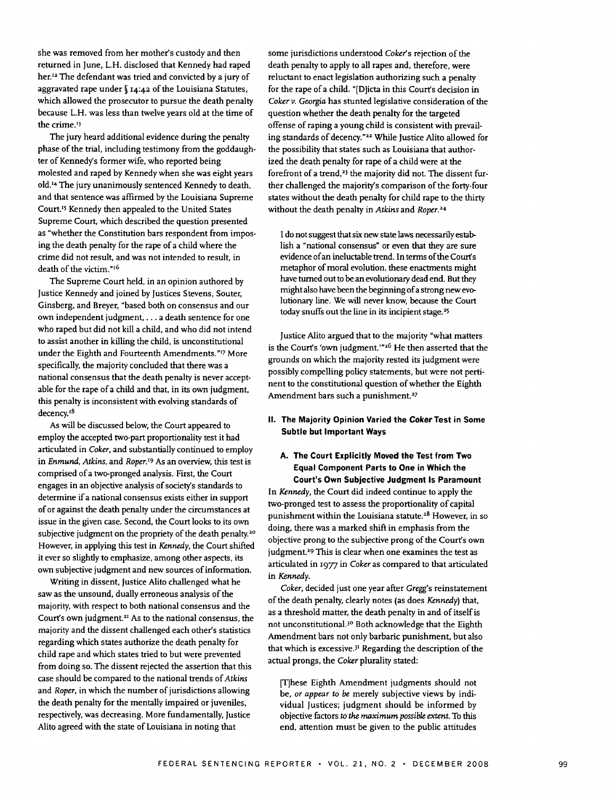she was removed from her mother's custody and then returned in June, L.H. disclosed that Kennedy had raped her.<sup>12</sup> The defendant was tried and convicted by a jury of aggravated rape under **S 14:42** of the Louisiana Statutes, which allowed the prosecutor to pursue the death penalty because L.H. was less than twelve years old at the time of the crime.<sup>13</sup>

The jury heard additional evidence during the penalty phase of the trial, including testimony from the goddaughter of Kennedy's former wife, who reported being molested and raped by Kennedy when she was eight years old.'4 The jury unanimously sentenced Kennedy to death, and that sentence was affirmed by the Louisiana Supreme Court.<sup>15</sup> Kennedy then appealed to the United States Supreme Court, which described the question presented as "whether the Constitution bars respondent from imposing the death penalty for the rape of a child where the crime did not result, and was not intended to result, in death of the victim."<sup>16</sup>

The Supreme Court held, in an opinion authored by Justice Kennedy and joined by Justices Stevens, Souter, Ginsberg, and Breyer, "based both on consensus and our own independent judgment, . . . a death sentence for one who raped but did not kill a child, and who did not intend to assist another in killing the child, is unconstitutional under the Eighth and Fourteenth Amendments."<sup>17</sup> More specifically, the majority concluded that there was a national consensus that the death penalty is never acceptable for the rape of a child and that, in its own judgment, this penalty is inconsistent with evolving standards of decency.<sup>18</sup>

As will be discussed below, the Court appeared to employ the accepted two-part proportionality test it had articulated in *Coker,* and substantially continued to employ in *Enmund, Atkins,* and *Roper.'9* As an overview, this test is comprised of a two-pronged analysis. First, the Court engages in an objective analysis of society's standards to determine if a national consensus exists either in support of or against the death penalty under the circumstances at issue in the given case. Second, the Court looks to its own subjective judgment on the propriety of the death penalty.<sup>20</sup> However, in applying this test in *Kennedy,* the Court shifted it ever so slightly to emphasize, among other aspects, its own subjective judgment and new sources of information.

Writing in dissent, Justice Alito challenged what he saw as the unsound, dually erroneous analysis of the majority, with respect to both national consensus and the Court's own judgment.<sup>21</sup> As to the national consensus, the majority and the dissent challenged each other's statistics regarding which states authorize the death penalty for child rape and which states tried to but were prevented from doing so. The dissent rejected the assertion that this case should be compared to the national trends of *Atkins* and *Roper,* in which the number of jurisdictions allowing the death penalty for the mentally impaired or juveniles, respectively, was decreasing. More fundamentally, Justice Alito agreed with the state of Louisiana in noting that

some jurisdictions understood *Coker's* rejection of the death penalty to apply to all rapes and, therefore, were reluctant to enact legislation authorizing such a penalty for the rape of a child. "[D]icta in this Courts decision in *Coker v. Georgia* has stunted legislative consideration of the question whether the death penalty for the targeted offense of raping a young child is consistent with prevailing standards of decency." <sup>2</sup> 2 While Justice Alito allowed for the possibility that states such as Louisiana that authorized the death penalty for rape of a child were at the forefront of a trend,<sup>23</sup> the majority did not. The dissent further challenged the majority's comparison of the forty-four states without the death penalty for child rape to the thirty without the death penalty in *Atkins* and *Roper.24*

I do not suggest that six new state laws necessarily establish a "national consensus" or even that they are sure evidence ofan ineluctable trend. In terms of the Courts metaphor of moral evolution, these enactments might have turned out to be an evolutionary dead end. But they might also have been the beginning of a strong new evolutionary line. We will never know, because the Court today snuffs out the line in its incipient stage.<sup>25</sup>

Justice Alito argued that to the majority "what matters is the Courts 'own judgment. **' <sup>2</sup> <sup>6</sup>**He then asserted that the grounds on which the majority rested its judgment were possibly compelling policy statements, but were not pertinent to the constitutional question of whether the Eighth Amendment bars such a punishment.<sup>27</sup>

**If. The Majority Opinion Varied the CokerTest in Some Subtle but Important Ways**

#### **A. The Court Explicitly Moved the Test from Two Equal Component Parts to One in Which the Court's Own Subjective Judgment Is Paramount**

In *Kennedy,* the Court did indeed continue to apply the two-pronged test to assess the proportionality of capital punishment within the Louisiana statute.<sup>28</sup> However, in so doing, there was a marked shift in emphasis from the objective prong to the subjective prong of the Court's own judgment.<sup>29</sup> This is clear when one examines the test as articulated in 1977 in *Coker* as compared to that articulated in *Kennedy.*

*Coker, decided just one year after <i>Gregg's* reinstatement of the death penalty, clearly notes (as does *Kennedy)* that, as a threshold matter, the death penalty in and of itself is not unconstitutional.30 Both acknowledge that the Eighth Amendment bars not only barbaric punishment, but also that which is excessive.<sup>31</sup> Regarding the description of the actual prongs, the *Coker* plurality stated:

[T]hese Eighth Amendment judgments should not be, *or appear to be* merely subjective views by individual Justices; judgment should be informed by objective factors *to the maximum possible extent.* To this end, attention must be given to the public attitudes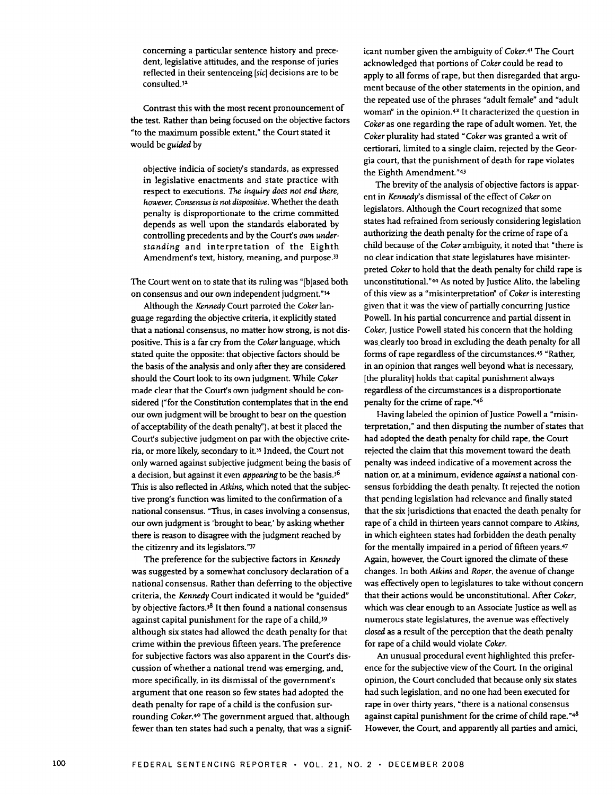concerning a particular sentence history and precedent, legislative attitudes, and the response of juries reflected in their sentenceing *[sic]* decisions are to be consulted.32

Contrast this with the most recent pronouncement of the test. Rather than being focused on the objective factors "to the maximum possible extent," the Court stated it would be *guided* by

objective indicia of society's standards, as expressed in legislative enactments and state practice with respect to executions. *The inquiry does not end there, however. Consensus is not dispositive.* Whether the death penalty is disproportionate to the crime committed depends as well upon the standards elaborated by controlling precedents and by the Court's *own understanding* and interpretation of the Eighth Amendment's text, history, meaning, and purpose.<sup>33</sup>

The Court went on to state that its ruling was "[b]ased both on consensus and our own independent judgment."34

Although the *Kennedy* Court parroted the *Coker* language regarding the objective criteria, it explicitly stated that a national consensus, no matter how strong, is not dispositive. This is a far cry from the *Coker* language, which stated quite the opposite: that objective factors should be the basis of the analysis and only after they are considered should the Court look to its own judgment. While *Coker* made clear that the Court's own judgment should be considered ("for the Constitution contemplates that in the end our own judgment will be brought to bear on the question of acceptability of the death penalty"), at best it placed the Court's subjective judgment on par with the objective criteria, or more likely, secondary to it.35 Indeed, the Court not only warned against subjective judgment being the basis of a decision, but against it even *appearing* to be the basis.36 This is also reflected in *Atkins,* which noted that the subjective prong's function was limited to the confirmation of a national consensus. "Thus, in cases involving a consensus, our own judgment is 'brought to bear,' by asking whether there is reason to disagree with the judgment reached by the citizenry and its legislators."37

The preference for the subjective factors in *Kennedy* was suggested by a somewhat conclusory declaration of a national consensus. Rather than deferring to the objective criteria, the *Kennedy* Court indicated it would be "guided" by objective factors.38 It then found a national consensus against capital punishment for the rape of a child,<sup>39</sup> although six states had allowed the death penalty for that crime within the previous fifteen years. The preference for subjective factors was also apparent in the Court's discussion of whether a national trend was emerging, and, more specifically, in its dismissal of the government's argument that one reason so few states had adopted the death penalty for rape of a child is the confusion surrounding *Coker.4O* The government argued that, although fewer than ten states had such a penalty, that was a significant number given the ambiguity of *Coker.4'* The Court acknowledged that portions of *Coker* could be read to apply to all forms of rape, but then disregarded that argument because of the other statements in the opinion, and the repeated use of the phrases "adult female" and "adult woman" in the opinion.<sup>42</sup> It characterized the question in *Coker* as one regarding the rape of adult women. Yet, the *Coker* plurality had stated "Coker was granted a writ of certiorari, limited to a single daim, rejected by the Georgia court, that the punishment of death for rape violates the Eighth Amendment."43

The brevity of the analysis of objective factors is apparent in Kennedy's dismissal of the effect of *Coker* on legislators. Although the Court recognized that some states had refrained from seriously considering legislation authorizing the death penalty for the crime of rape of a child because of the *Coker* ambiguity, it noted that "there is no clear indication that state legislatures have misinterpreted *Coker* to hold that the death penalty for child rape is unconstitutional."44 As noted by Justice Alito, the labeling of this view as a "misinterpretation" of *Coker* is interesting given that it was the view of partially concurring Justice Powell. In his partial concurrence and partial dissent in *Coker,* Justice Powell stated his concern that the holding was.clearly too broad in excluding the death penalty for all forms of rape regardless of the circumstances.45 "Rather, in an opinion that ranges well beyond what is necessary, [the plurality] holds that capital punishment always regardless of the circumstances is a disproportionate penalty for the crime of rape."46

Having labeled the opinion of Justice Powell a "misinterpretation," and then disputing the number of states that had adopted the death penalty for child rape, the Court rejected the claim that this movement toward the death penalty was indeed indicative of a movement across the nation or, at a minimum, evidence *against* a national consensus forbidding the death penalty. It rejected the notion that pending legislation had relevance and finally stated that the six jurisdictions that enacted the death penalty for rape of a child in thirteen years cannot compare to *Atkins,* in which eighteen states had forbidden the death penalty for the mentally impaired in a period of fifteen years.47 Again, however, the Court ignored the climate of these changes. In both *Atkins* and *Roper,* the avenue of change was effectively open to legislatures to take without concern that their actions would be unconstitutional. After *Coker,* which was dear enough to an Associate Justice as well as numerous state legislatures, the avenue was effectively *closed* as a result of the perception that the death penalty for rape of a child would violate *Coker.*

An unusual procedural event highlighted this preference for the subjective view of the Court. In the original opinion, the Court concluded that because only six states had such legislation, and no one had been executed for rape in over thirty years, "there is a national consensus against capital punishment for the crime of child rape."48 However, the Court, and apparently all parties and amici,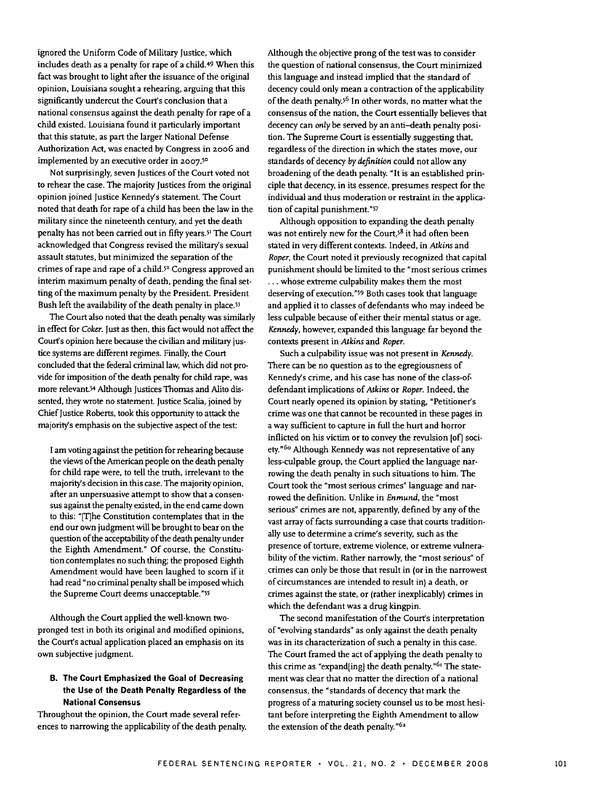ignored the Uniform Code of Military Justice, which includes death as a penalty for rape of a child.49 When this fact was brought to light after the issuance of the original opinion, Louisiana sought a rehearing, arguing that this significantly undercut the Court's conclusion that a national consensus against the death penalty for rape of a child existed. Louisiana found it particularly important that this statute, as part the larger National Defense Authorization Act, was enacted by Congress in **2oo6** and implemented by an executive order in **2007.50**

Not surprisingly, seven Justices of the Court voted not to rehear the case. The majority Justices from the original opinion joined Justice Kennedy's statement. The Court noted that death for rape of a child has been the law in the military since the nineteenth century, and yet the death penalty has not been carried out in fifty years.<sup>51</sup> The Court acknowledged that Congress revised the military's sexual assault statutes, but minimized the separation of the crimes of rape and rape of a child.52 Congress approved an interim maximum penalty of death, pending the final setting of the maximum penalty **by** the President. President Bush left the availability of the death penalty in place.53

The Court also noted that the death penalty was similarly in effect for *Coker.* Just as then, this fact would not affect the Courfs opinion here because the civilian and military justice systems are different regimes. Finally, the Court concluded that the federal criminal law, which did not provide for imposition of the death penalty for child rape, was more relevant.<sup>54</sup> Although Justices Thomas and Alito dissented, they wrote no statement. Justice Scalia, joined by Chief Justice Roberts, took this opportunity to attack the majority's emphasis on the subjective aspect of the test:

I am voting against the petition for rehearing because the views of the American people on the death penalty for child rape were, to tell the truth, irrelevant to the majority's decision in this case. The majority opinion, after an unpersuasive attempt to show that a consensus against the penalty existed, in the end came down to this: "[T]he Constitution contemplates that in the end our own judgment will be brought to bear on the question of the acceptability of the death penalty under the Eighth Amendment." Of course, the Constitution contemplates no such thing; the proposed Eighth Amendment would have been laughed to scorn if it had read "no criminal penalty shall be imposed which the Supreme Court deems unacceptable."55

Although the Court applied the well-known twopronged test in both its original and modified opinions, the Court's actual application placed an emphasis on its own subjective judgment.

#### B. **The Court Emphasized the Goal of Decreasing the Use of the Death Penalty Regardless of the National Consensus**

Throughout the opinion, the Court made several references to narrowing the applicability of the death penalty. Although the objective prong of the test was to consider the question of national consensus, the Court minimized this language and instead implied that the standard of decency could only mean a contraction of the applicability of the death penalty.56 In other words, no matter what the consensus of the nation, the Court essentially believes that decency can only be served by an anti-death penalty position. The Supreme Court is essentially suggesting that, regardless of the direction in which the states move, our standards of decency **by** *definition* could not allow any broadening of the death penalty. "It is an established principle that decency, in its essence, presumes respect for the individual and thus moderation or restraint in the application of capital punishment."57

Although opposition to expanding the death penalty was not entirely new for the Court,<sup>58</sup> it had often been stated in very different contexts. Indeed, in *Atkins* and *Roper,* the Court noted it previously recognized that capital punishment should be limited to the "most serious crimes **...** whose extreme culpability makes them the most deserving of execution."59 Both cases took that language and applied it to classes of defendants who may indeed be less culpable because of either their mental status or age. *Kennedy,* however, expanded this language far beyond the contexts present in *Atkins* and *Roper.*

Such a culpability issue was not present in *Kennedy.* There can be no question as to the egregiousness of Kennedy's crime, and his case has none of the class-ofdefendant implications of *Atkins* or *Roper.* Indeed, the Court nearly opened its opinion by stating, "Petitioner's crime was one that cannot be recounted in these pages in a way sufficient to capture in full the hurt and horror inflicted on his victim or to convey the revulsion [of] society."<sup>60</sup> Although Kennedy was not representative of any less-culpable group, the Court applied the language narrowing the death penalty in such situations to him. The Court took the "most serious crimes" language and narrowed the definition. Unlike in *Enmund,* the "most serious" crimes are not, apparently, defined by any of the vast array of facts surrounding a case that courts traditionally use to determine a crime's severity, such as the presence of torture, extreme violence, or extreme vulnerability of the victim. Rather narrowly, the "most serious" of crimes can only be those that result in (or in the narrowest of circumstances are intended to result in) a death, or crimes against the state, or (rather inexplicably) crimes in which the defendant was a drug kingpin.

The second manifestation of the Court's interpretation of "evolving standards" as only against the death penalty was in its characterization of such a penalty in this case. The Court framed the act of applying the death penalty to this crime as "expand[ing] the death penalty."<sup>61</sup> The statement was clear that no matter the direction of a national consensus, the "standards of decency that mark the progress of a maturing society counsel us to be most hesitant before interpreting the Eighth Amendment to allow the extension of the death penalty." $62$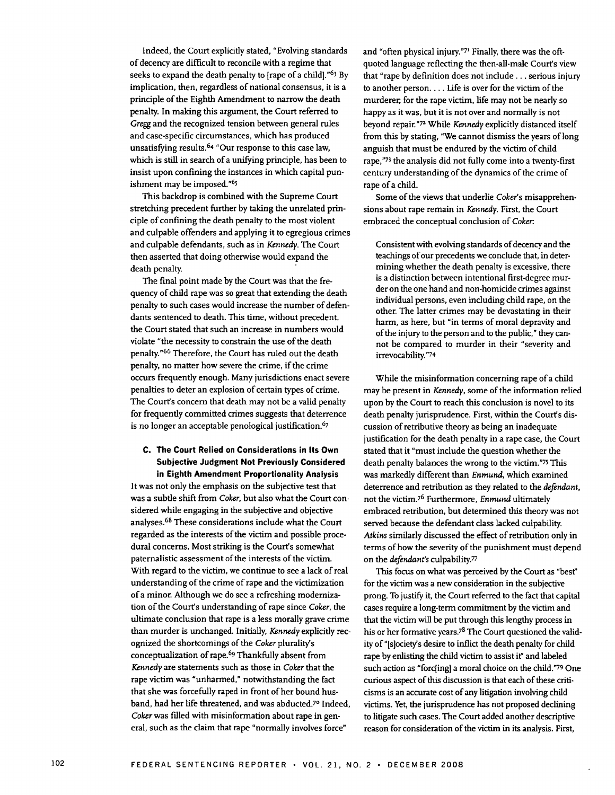Indeed, the Court explicitly stated, "Evolving standards of decency are difficult to reconcile with a regime that seeks to expand the death penalty to [rape of a child]."<sup>63</sup> By implication, then, regardless of national consensus, it is a principle of the Eighth Amendment to narrow the death penalty. In making this argument, the Court referred to *Gregg* and the recognized tension between general rules and case-specific circumstances, which has produced unsatisfying results. 64 "Our response to this case law, which is still in search of a unifying principle, has been to insist upon confining the instances in which capital punishment may be imposed."<sup>6</sup> 5

This backdrop is combined with the Supreme Court stretching precedent further by taking the unrelated principle of confining the death penalty to the most violent and culpable offenders and applying it to egregious crimes and culpable defendants, such as in *Kennedy.* The Court then asserted that doing otherwise would expand the death penalty.

The final point made by the Court was that the frequency of child rape was so great that extending the death penalty to such cases would increase the number of defendants sentenced to death. This time, without precedent, the Court stated that such an increase in numbers would violate "the necessity to constrain the use of the death penalty."66 Therefore, the Court has ruled out the death penalty, no matter how severe the crime, if the crime occurs frequently enough. Many jurisdictions enact severe penalties to deter an explosion of certain types of crime. The Court's concern that death may not be a valid penalty for frequently committed crimes suggests that deterrence is no longer an acceptable penological justification.<sup>67</sup>

#### **C. The Court Relied on Considerations in Its Own Subjective Judgment Not Previously Considered in Eighth Amendment Proportionality Analysis**

It was not only the emphasis on the subjective test that was a subtle shift from *Coker,* but also what the Court considered while engaging in the subjective and objective analyses. 68 These considerations include what the Court regarded as the interests of the victim and possible procedural concerns. Most striking is the Court's somewhat paternalistic assessment of the interests of the victim. With regard to the victim, we continue to see a lack of real understanding of the crime of rape and the victimization of a minor. Although we do see a refreshing modernization of the Court's understanding of rape since *Coker,* the ultimate conclusion that rape is a less morally grave crime than murder is unchanged. Initially, *Kennedy* explicitly recognized the shortcomings of the *Coker* plurality's conceptualization of rape.<sup>69</sup> Thankfully absent from *Kennedy* are statements such as those in *Coker* that the rape victim was "unharmed," notwithstanding the fact that she was forcefully raped in front of her bound husband, had her life threatened, and was abducted.70 Indeed, *Coker* was filled with misinformation about rape in general, such as the claim that rape "normally involves force"

and "often physical injury."71 Finally, there was the oftquoted language reflecting the then-all-male Court's view that "rape by definition does not include **...** serious injury to another person.... Life is over for the victim of the murderer, for the rape victim, life may not be nearly so happy as it was, but it is not over and normally is not beyond repair."<sup>72</sup> While *Kennedy* explicitly distanced itself from this by stating, "We cannot dismiss the years of long anguish that must be endured by the victim of child rape,"73 the analysis did not fully come into a twenty-first century understanding of the dynamics of the crime of rape of a child.

Some of the views that underlie *Coker's* misapprehensions about rape remain in *Kennedy.* First, the Court embraced the conceptual conclusion of *Coker*

Consistent with evolving standards of decency and the teachings of our precedents we conclude that, in determining whether the death penalty is excessive, there is a distinction between intentional first-degree murder on the one hand and non-homicide crimes against individual persons, even including child rape, on the other. The latter crimes may be devastating in their harm, as here, but "in terms of moral depravity and of the injury to the person and to the public," they cannot be compared to murder in their "severity and irrevocability."74

While the misinformation concerning rape of a child may be present in *Kennedy,* some of the information relied upon by the Court to reach this conclusion is novel to its death penalty jurisprudence. First, within the Court's discussion of retributive theory as being an inadequate justification for the death penalty in a rape case, the Court stated that it "must include the question whether the death penalty balances the wrong to the victim."<sup>75</sup> This was markedly different than *Enmund,* which examined deterrence and retribution as they related to the *defendant,* not the victim.<sup>76</sup> Furthermore, *Enmund* ultimately embraced retribution, but determined this theory was not served because the defendant class lacked culpability. *Atkins* similarly discussed the effect of retribution only in terms of how the severity of the punishment must depend on the *defendant's* culpability.77

This focus on what was perceived by the Court as "best" for the victim was a new consideration in the subjective prong. To justify it, the Court referred to the fact that capital cases require a long-term commitment by the victim and that the victim will be put through this lengthy process in his or her formative years.78 The Court questioned the validity of "[slociety's desire to inflict the death penalty for child rape by enlisting the child victim to assist it" and labeled such action as "forc[ing] a moral choice on the child."79 One curious aspect of this discussion is that each of these criticisms is an accurate cost of any litigation involving child victims. Yet, the jurisprudence has not proposed declining to litigate such cases. The Court added another descriptive reason for consideration of the victim in its analysis. First,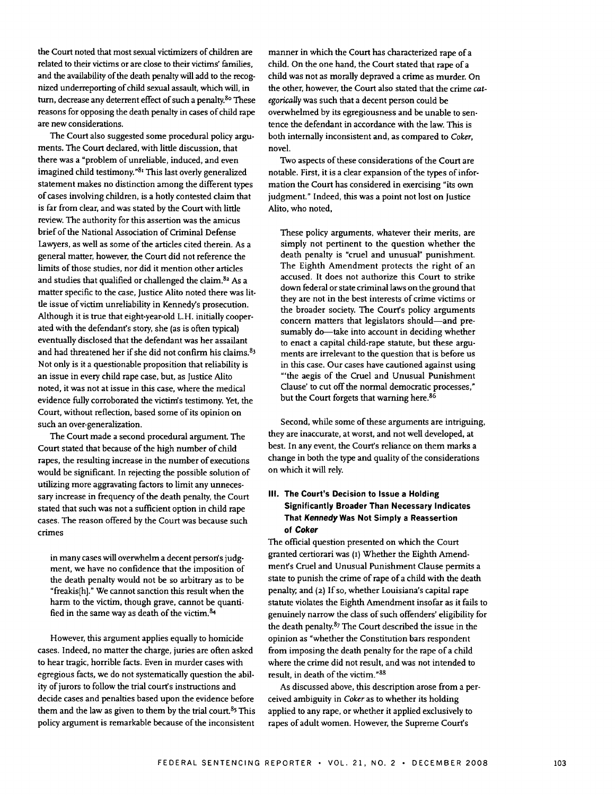the Court noted that most sexual victimizers of children are related to their victims or are close to their victims' families, and the availability of the death penalty will add to the recognized underreporting of child sexual assault, which will, in turn, decrease any deterrent effect of such a penalty.<sup>80</sup> These reasons for opposing the death penalty in cases of child rape are new considerations.

The Court also suggested some procedural policy arguments. The Court declared, with little discussion, that there was a "problem of unreliable, induced, and even imagined child testimony."<sup>81</sup> This last overly generalized statement makes no distinction among the different types of cases involving children, is a hotly contested claim that is far from clear, and was stated by the Court with little review. The authority for this assertion was the amicus brief of the National Association of Criminal Defense Lawyers, as well as some of the articles cited therein. As a general matter, however, the Court did not reference the limits of those studies, nor did it mention other articles and studies that qualified or challenged the claim.<sup>82</sup> As a matter specific to the case, Justice Alito noted there was little issue of victim unreliability in Kennedy's prosecution. Although it is true that eight-year-old L.H. initially cooperated with the defendant's story, she (as is often typical) eventually disclosed that the defendant was her assailant and had threatened her if she did not confirm his claims.<sup>83</sup> Not only is it a questionable proposition that reliability is an issue in every child rape case, but, as Justice Alito noted, it was not at issue in this case, where the medical evidence fully corroborated the victim's testimony. Yet, the Court, without reflection, based some of its opinion on such an over-generalization.

The Court made a second procedural argument. The Court stated that because of the high number of child rapes, the resulting increase in the number of executions would be significant. In rejecting the possible solution of utilizing more aggravating factors to limit any unnecessary increase in frequency of the death penalty, the Court stated that such was not a sufficient option in child rape cases. The reason offered by the Court was because such crimes

in many cases will overwhelm a decent persoris judgment, we have no confidence that the imposition of the death penalty would not be so arbitrary as to be "freakis[h]." We cannot sanction this result when the harm to the victim, though grave, cannot be quantified in the same way as death of the victim.<sup>84</sup>

However, this argument applies equally to homicide cases. Indeed, no matter the charge, juries are often asked to hear tragic, horrible facts. Even in murder cases with egregious facts, we do not systematically question the ability of jurors to follow the trial court's instructions and decide cases and penalties based upon the evidence before them and the law as given to them by the trial court. $85$  This policy argument is remarkable because of the inconsistent

manner in which the Court has characterized rape of a child. On the one hand, the Court stated that rape of a child was not as morally depraved a crime as murder. On the other, however, the Court also stated that the crime *categorically* was such that a decent person could be overwhelmed by its egregiousness and be unable to sentence the defendant in accordance with the law. This is both internally inconsistent and, as compared to Coker, novel.

Two aspects of these considerations of the Court are notable. First, it is a dear expansion of the types of information the Court has considered in exercising "its own judgment." Indeed, this was a point not lost on Justice Alito, who noted,

These policy arguments, whatever their merits, are simply not pertinent to the question whether the death penalty is "cruel and unusual" punishment. The Eighth Amendment protects the right of an accused. It does not authorize this Court to strike down federal or state criminal laws on the ground that they are not in the best interests of crime victims or the broader society. The Court's policy arguments concern matters that legislators should-and presumably do-take into account in deciding whether to enact a capital child-rape statute, but these arguments are irrelevant to the question that is before us in this case. Our cases have cautioned against using "'the aegis of the Cruel and Unusual Punishment Clause' to cut off the normal democratic processes," but the Court forgets that warning here.<sup>86</sup>

Second, while some of these arguments are intriguing, they are inaccurate, at worst, and not well developed, at best. In any event, the Court's reliance on them marks a change in both the type and quality of the considerations on which it will rely.

## **Ill. The Court's Decision to Issue a Holding Significantly Broader Than Necessary Indicates That Kennedy Was Not Simply a Reassertion of Coker**

The official question presented on which the Court granted certiorari was (i) Whether the Eighth Amendment's Cruel and Unusual Punishment Clause permits a state to punish the crime of rape of a child with the death penalty, and **(2)** If so, whether Louisiana's capital rape statute violates the Eighth Amendment insofar as it fails to genuinely narrow the dass of such offenders' eligibility for the death penalty.<sup>87</sup> The Court described the issue in the opinion as "whether the Constitution bars respondent from imposing the death penalty for the rape of a child where the crime did not result, and was not intended to result, in death of the victim."<sup>88</sup>

As discussed above, this description arose from a perceived ambiguity in Coker as to whether its holding applied to any rape, or whether it applied exclusively to rapes of adult women. However, the Supreme Courfs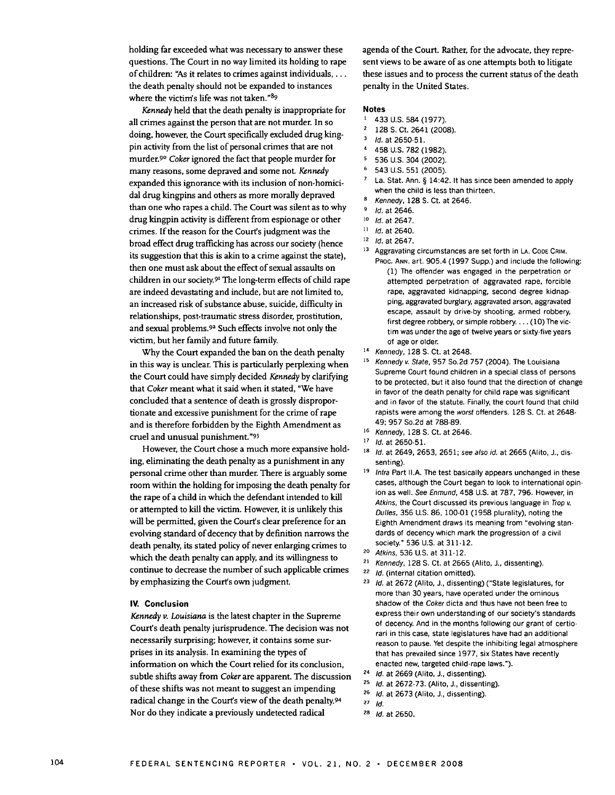holding far exceeded what was necessary to answer these questions. The Court in no way limited its holding to rape of children: **"As** it relates to crimes against individuals **....** the death penalty should not be expanded to instances where the victim's life was not taken." $89$ 

*Kennedy* held that the death penalty is inappropriate for all crimes against the person that are not murder. In so doing, however, the Court specifically excluded drug kingpin activity from the list of personal crimes that are not murder.90 *Coker* ignored the fact that people murder for many reasons, some depraved and some not. *Kennedy* expanded this ignorance with its inclusion of non-homicidal drug kingpins and others as more morally depraved than one who rapes a child. The Court was silent as to why drug kingpin activity is different from espionage or other crimes. **If** the reason for the Court's judgment was the broad effect drug trafficking has across our society (hence its suggestion that this is akin to a crime against the state), then one must ask about the effect of sexual assaults on children in our society.<sup>91</sup> The long-term effects of child rape are indeed devastating and include, but are not limited to, an increased risk of substance abuse, suicide, difficulty in relationships, post-traumatic stress disorder, prostitution, and sexual problems.92 Such effects involve not only the victim, but her family and future family.

**Why** the Court expanded the ban on the death penalty in this way is unclear. This is particularly perplexing when the Court could have simply decided *Kennedy* **by** clarifying that Coker meant what it said when it stated, **"We** have concluded that a sentence of death is grossly disproportionate and excessive punishment for the crime of rape and is therefore forbidden **by** the Eighth Amendment as cruel and unusual punishment."93

However, the Court chose a much more expansive holding, eliminating the death penalty as a punishment in any personal crime other than murder. There is arguably some room within the holding for imposing the death penalty for the rape of a child in which the defendant intended to kill or attempted to kill the victim. However, it is unlikely this will be permitted, given the Court's clear preference for an evolving standard of decency that **by** definition narrows the death penalty, its stated policy of never enlarging crimes to which the death penalty can apply, and its willingness to continue to decrease the number of such applicable crimes by emphasizing the Court's own judgment.

#### **IV. Conclusion**

*Kennedy v. Louisiana* is the latest chapter in the Supreme Court's death penalty jurisprudence. The decision was not necessarily surprising; however, it contains some surprises in its analysis. In examining the types of information on which the Court relied for its conclusion, subtle shifts away from *Coker* are apparent. The discussion of these shifts was not meant to suggest an impending radical change in the Court's view of the death penalty.<sup>94</sup> Nor do they indicate a previously undetected radical

agenda of the Court. Rather, for the advocate, they represent views to be aware of as one attempts both to litigate these issues and to process the current status of the death penalty in the United States.

#### **Notes**

- **1** 433 **U.S.** 584 **(1977).**
- **<sup>2</sup>128 S.** Ct. 2641 **(2008).**
- *3* **Id.** at 2650-51.
- 4 458 U.S. 782 (1982).
- **<sup>5</sup>**536 U.S. 304 (2002).
- **<sup>6</sup>**543 U.S. **551** (2005).
- **7** La. Stat. Ann. **§** 14:42. It has since been amended to apply when the child is less than thirteen.
- *s* Kennedy, **128** S. Ct. at 2646.
- *9* **Id.** at 2646.
- **10** Id. at 2647.
- **11** Id. at 2640.
- <sup>12</sup>**Id.** at 2647.
- **<sup>13</sup>**Aggravating circumstances are set forth in LA. CODE CRIM. PROC. ANN. art. 905.4 (1997 Supp.) and include the following: **(1)** The offender was engaged in the perpetration or attempted perpetration of aggravated rape, forcible rape, aggravated kidnapping, second degree kidnapping, aggravated burglary, aggravated arson, aggravated escape, assault **by** drive-by shooting, armed robbery, first degree robbery, or simple robbery.... (10) The victim was under the age of twelve years or sixty-five years
- of age or older. **<sup>14</sup>**Kennedy, 128 **S.** Ct. at 2648.
- <sup>15</sup> Kennedy v. State, 957 So.2d 757 (2004). The Louisiana Supreme Court found children in a special class of persons to be protected, but it also found that the direction of change in favor of the death penalty for child rape was significant and in favor of the statute. Finally, the court found that child rapists were among the worst offenders. **128 S.** Ct. at 2648- 49; 957 So.2d at 788-89.
- **<sup>16</sup>**Kennedy, 128 **S.** Ct. at 2646.
- **<sup>17</sup>**Id. at 2650-51.
- **18 Id.** at 2649, 2653, 2651; see also *id.* at 2665 (Alito, J., dissenting).
- **19** Infra Part **I.A.** The test basically appears unchanged in these cases, although the Court began to look to international opinion as well. See Enmund, 458 U.S. at 787, 796. However, in *Atkins,* the Court discussed its previous language in Trop v. *Dulles,* 356 U.S. 86, **100-01** (1958 plurality), noting the Eighth Amendment draws its meaning from "evolving standards of decency which mark the progression of a civil society." 536 U.S. at **311-12.**
- **<sup>20</sup>**Atkins, 536 U.S. at **311-12.**
- <sup>21</sup>Kennedy, **128 S.** Ct. at 2665 (Alito, J., dissenting).
- **<sup>22</sup>Id.** (internal citation omitted).
- **<sup>23</sup>Id.** at 2672 (Alito, J., dissenting) ("State legislatures, for more than **30** years, have operated under the ominous shadow of the Coker dicta and thus have not been free to express their own understanding of our society's standards of decency. And in the months following our grant of certiorari in this case, state legislatures have had an additional reason to pause. Yet despite the inhibiting legal atmosphere that has prevailed since **1977,** six States have recently enacted new, targeted child-rape laws.").
- <sup>24</sup>**Id.** at **2669** (Alito, **J.,** dissenting).
- **<sup>25</sup>Id.** at 2672-73. (Alito, J., dissenting).
- **<sup>26</sup>Id.** at 2673 (Alito, J., dissenting).
- **27 Id.**
- *28* Id. at 2650.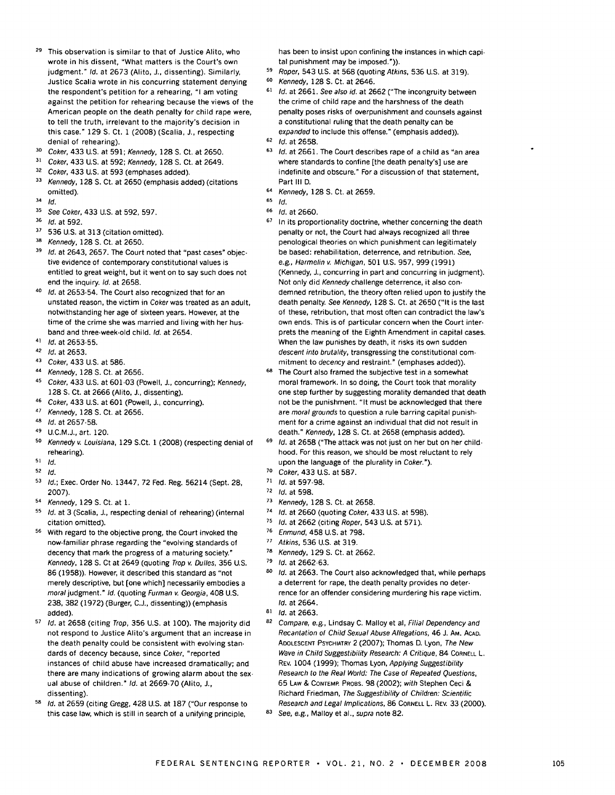- **<sup>29</sup>**This observation is similar to that of Justice Alito, who wrote in his dissent, "What matters is the Court's own judgment." Id. at 2673 (Alito, J., dissenting). Similarly, Justice Scalia wrote in his concurring statement denying the respondent's petition for a rehearing, **"I** am voting against the petition for rehearing because the views of the American people on the death penalty for child rape were, to tell the truth, irrelevant to the majority's decision in this case." 129 S. Ct. 1 (2008) (Scalia, J., respecting denial of rehearing).
- **<sup>30</sup>**Coker, 433 U.S. at 591; Kennedy, 128 S. Ct. at 2650.
- **<sup>31</sup>**Coker, 433 U.S. at 592; Kennedy, 128 S. Ct. at 2649.
- **<sup>32</sup>**Coker, 433 U.S. at 593 (emphases added).
- **33** Kennedy, 128 **S.** Ct. at 2650 (emphasis added) (citations omitted).
- **34 Id.**
- **<sup>35</sup>**See Coker, 433 **U.S.** at 592, **597.**
- **36 Id.** at 592.
- **<sup>31</sup>**536 **U.S.** at 313 (citation omitted).
- **38** Kennedy, 128 **S.** Ct. at 2650.
- **39 Id.** at 2643, 2657. The Court noted that "past cases" objective evidence of contemporary constitutional values is entitled to great weight, but it went on to say such does not end the inquiry. **Id.** at **2658.**
- <sup>40</sup>**Id.** at 2653-54. The Court also recognized that for an unstated reason, the victim in Coker was treated as an adult, notwithstanding her age of sixteen years. However, at the time of the crime she was married and living with her husband and three-week-old child. **Id.** at 2654.
- **41 Id.** at **2653-55.**
- 42 Id. at 2653.
- **43** Coker, 433 U.S. at 586.
- 41 Kennedy, 128 **S.** Ct. at 2656.
- <sup>45</sup>*Coker,* 433 U.S. at 601-03 (Powell, J., concurring); Kennedy, 128 **S.** Ct. at 2666 (Alito, J., dissenting).
- **<sup>46</sup>**Coker, 433 U.S. at 601 (Powell, J., concurring).
- 47 Kennedy, 128 **S.** Ct. at 2656.
- **48** Id. at 2657-58.
- 49 U.C.M.J., art. 120.
- **<sup>50</sup>**Kennedy v. Louisiana, 129 S.Ct. 1 (2008) (respecting denial of rehearing).
- **51 Id.**
- **52** Id.
- **53** Id.; Exec. Order No. 13447, 72 Fed. Reg. 56214 (Sept. 28, 2007).
- <sup>54</sup>Kennedy, 129 **S.** Ct. at 1.
- **55** Id. at 3 (Scalia, J., respecting denial of rehearing) (internal citation omitted).
- **<sup>56</sup>**With regard to the objective prong, the Court invoked the now-familiar phrase regarding the "evolving standards of decency that mark the progress of a maturing society." Kennedy, 128 S. Ct at 2649 (quoting Trop v. Dulles, 356 U.S. 86 (1958)). However, it described this standard as "not merely descriptive, but [one which] necessarily embodies a moral judgment." Id. (quoting Furman v. Georgia, 408 U.S. 238, 382 (1972) (Burger, C.J., dissenting)) (emphasis added).
- **<sup>57</sup>**Id. at 2658 (citing Trop, 356 U.S. at 100). The majority did not respond to Justice Alito's argument that an increase in the death penalty could be consistent with evolving standards of decency because, since Coker, "reported instances of child abuse have increased dramatically; and there are many indications of growing alarm about the sexual abuse of children." Id. at 2669-70 (Alito, J., dissenting).
- **<sup>58</sup>**Id. at 2659 (citing Gregg, 428 U.S. at 187 ("Our response to this case law, which is still in search of a unifying principle,

has been to insist upon confining the instances in which capital punishment may be imposed.")).

- **59** Roper, 543 U.S. at 568 (quoting Atkins, 536 U.S. at 319).
- **<sup>60</sup>**Kennedy, 128 **S.** Ct. at 2646.
- **<sup>61</sup>**Id. at 2661. See also id. at 2662 ("The incongruity between the crime of child rape and the harshness of the death penalty poses risks of overpunishment and counsels against a constitutional ruling that the death penalty can be expanded to include this offense." (emphasis added)).
- **62** Id. at 2658.
- **<sup>63</sup>**Id. at 2661. The Court describes rape of a child as "an area where standards to confine [the death penalty's] use are indefinite and obscure." For a discussion of that statement, Part **III** D.
- **<sup>64</sup>**Kennedy, 128 **S.** Ct. at 2659.
- **65** Id.
- **66** Id. at 2660.
- **<sup>67</sup>**In its proportionality doctrine, whether concerning the death penalty or not, the Court had always recognized all three penological theories on which punishment can legitimately be based: rehabilitation, deterrence, and retribution. See, e.g., Harmelin v. Michigan, 501 U.S. 957, **999 (1991)** (Kennedy, J., concurring in part and concurring in judgment). Not only did Kennedy challenge deterrence, it also condemned retribution, the theory often relied upon to justify the death penalty. See Kennedy, **128** S. Ct. at 2650 ("It is the last of these, retribution, that most often can contradict the law's own ends. This is of particular concern when the Court interprets the meaning of the Eighth Amendment in capital cases. When the law punishes by death, it risks its own sudden descent into brutality, transgressing the constitutional commitment to decency and restraint." (emphases added)).
- **6** The Court also framed the subjective test in a somewhat moral framework. In so doing, the Court took that morality one step further by suggesting morality demanded that death not be the punishment. "It must be acknowledged that there are moral grounds to question a rule barring capital punishment for a crime against an individual that did not result in death." Kennedy, 128 **S.** Ct. at 2658 (emphasis added).
- **69** Id. at 2658 ("The attack was not just on her but on her childhood. For this reason, we should be most reluctant to rely upon the language of the plurality in Coker.").
- **<sup>70</sup>**Coker, 433 U.S. at 587.
- **71** Id. at 597-98.
- **72 Id.** at 598.
- **<sup>73</sup>**Kennedy, 128 **S.** Ct. at 2658.
- 74 *Id.* at 2660 (quoting Coker, 433 U.S. at 598).
- **<sup>75</sup>**Id. at 2662 (citing Roper, 543 U.S. at 571).
- **<sup>76</sup>**Enmund, 458 U.S. at 798.
- 
- 77 Atkins, 536 U.S. at 319.<br><sup>78</sup> Kennedy, 129 S. Ct. at 2 **<sup>78</sup>**Kennedy, 129 **S.** Ct. at 2662.
- **79** Id. at 2662-63.
- **80** Id. at 2663. The Court also acknowledged that, while perhaps a deterrent for rape, the death penalty provides no deterrence for an offender considering murdering his rape victim. Id. at 2664.
- **81** Id. at 2663.
- 82 Compare, e.g., Lindsay C. Malloy et al, Filial Dependency and Recantation of Child Sexual Abuse Allegations, 46 J. AM. **ACAD. ADOLESCENT** PSYCHIATRY 2 (2007); Thomas D. Lyon, The New Wave in Child Suggestibility Research: A Critique, 84 CORNELL L. REV. 1004 (1999); Thomas Lyon, Applying Suggestibility Research to the Real World: The Case of Repeated Questions, 65 **LAw** & **CONTEMP.** PROBS. 98 (2002); with Stephen Ceci & Richard Friedman, The Suggestibility of Children: Scientific Research and Legal Implications, 86 **CORNELL** L. REV. 33 (2000).
- **<sup>83</sup>**See, e.g., Malloy et al., supra note 82.